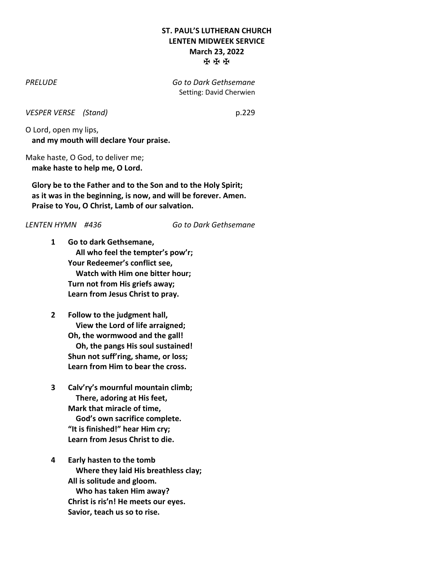## **ST. PAUL'S LUTHERAN CHURCH LENTEN MIDWEEK SERVICE March 23, 2022** ✠ ✠ ✠

*PRELUDE Go to Dark Gethsemane* Setting: David Cherwien

*VESPER VERSE (Stand)* p.229

O Lord, open my lips, **and my mouth will declare Your praise.**

Make haste, O God, to deliver me; **make haste to help me, O Lord.**

**Glory be to the Father and to the Son and to the Holy Spirit; as it was in the beginning, is now, and will be forever. Amen. Praise to You, O Christ, Lamb of our salvation.**

*LENTEN HYMN #436 Go to Dark Gethsemane*

- **1 Go to dark Gethsemane, All who feel the tempter's pow'r; Your Redeemer's conflict see, Watch with Him one bitter hour; Turn not from His griefs away; Learn from Jesus Christ to pray.**
- **2 Follow to the judgment hall, View the Lord of life arraigned; Oh, the wormwood and the gall! Oh, the pangs His soul sustained! Shun not suff'ring, shame, or loss; Learn from Him to bear the cross.**
- **3 Calv'ry's mournful mountain climb; There, adoring at His feet, Mark that miracle of time, God's own sacrifice complete. "It is finished!" hear Him cry; Learn from Jesus Christ to die.**
- **4 Early hasten to the tomb Where they laid His breathless clay; All is solitude and gloom. Who has taken Him away? Christ is ris'n! He meets our eyes. Savior, teach us so to rise.**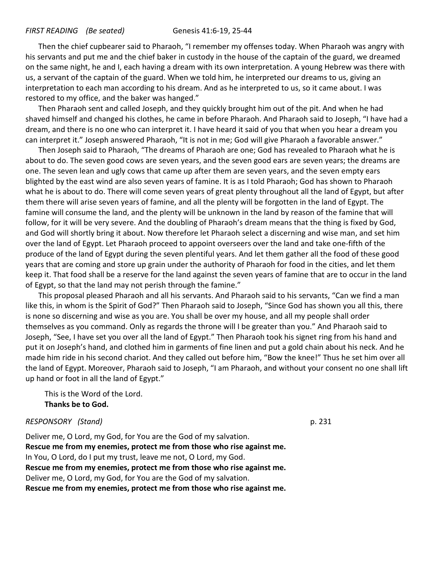#### *FIRST READING (Be seated)* Genesis 41:6-19, 25-44

Then the chief cupbearer said to Pharaoh, "I remember my offenses today. When Pharaoh was angry with his servants and put me and the chief baker in custody in the house of the captain of the guard, we dreamed on the same night, he and I, each having a dream with its own interpretation. A young Hebrew was there with us, a servant of the captain of the guard. When we told him, he interpreted our dreams to us, giving an interpretation to each man according to his dream. And as he interpreted to us, so it came about. I was restored to my office, and the baker was hanged."

Then Pharaoh sent and called Joseph, and they quickly brought him out of the pit. And when he had shaved himself and changed his clothes, he came in before Pharaoh. And Pharaoh said to Joseph, "I have had a dream, and there is no one who can interpret it. I have heard it said of you that when you hear a dream you can interpret it." Joseph answered Pharaoh, "It is not in me; God will give Pharaoh a favorable answer."

Then Joseph said to Pharaoh, "The dreams of Pharaoh are one; God has revealed to Pharaoh what he is about to do. The seven good cows are seven years, and the seven good ears are seven years; the dreams are one. The seven lean and ugly cows that came up after them are seven years, and the seven empty ears blighted by the east wind are also seven years of famine. It is as I told Pharaoh; God has shown to Pharaoh what he is about to do. There will come seven years of great plenty throughout all the land of Egypt, but after them there will arise seven years of famine, and all the plenty will be forgotten in the land of Egypt. The famine will consume the land, and the plenty will be unknown in the land by reason of the famine that will follow, for it will be very severe. And the doubling of Pharaoh's dream means that the thing is fixed by God, and God will shortly bring it about. Now therefore let Pharaoh select a discerning and wise man, and set him over the land of Egypt. Let Pharaoh proceed to appoint overseers over the land and take one-fifth of the produce of the land of Egypt during the seven plentiful years. And let them gather all the food of these good years that are coming and store up grain under the authority of Pharaoh for food in the cities, and let them keep it. That food shall be a reserve for the land against the seven years of famine that are to occur in the land of Egypt, so that the land may not perish through the famine."

This proposal pleased Pharaoh and all his servants. And Pharaoh said to his servants, "Can we find a man like this, in whom is the Spirit of God?" Then Pharaoh said to Joseph, "Since God has shown you all this, there is none so discerning and wise as you are. You shall be over my house, and all my people shall order themselves as you command. Only as regards the throne will I be greater than you." And Pharaoh said to Joseph, "See, I have set you over all the land of Egypt." Then Pharaoh took his signet ring from his hand and put it on Joseph's hand, and clothed him in garments of fine linen and put a gold chain about his neck. And he made him ride in his second chariot. And they called out before him, "Bow the knee!" Thus he set him over all the land of Egypt. Moreover, Pharaoh said to Joseph, "I am Pharaoh, and without your consent no one shall lift up hand or foot in all the land of Egypt."

This is the Word of the Lord. **Thanks be to God.**

#### *RESPONSORY (Stand)* p. 231

Deliver me, O Lord, my God, for You are the God of my salvation. **Rescue me from my enemies, protect me from those who rise against me.** In You, O Lord, do I put my trust, leave me not, O Lord, my God. **Rescue me from my enemies, protect me from those who rise against me.** Deliver me, O Lord, my God, for You are the God of my salvation. **Rescue me from my enemies, protect me from those who rise against me.**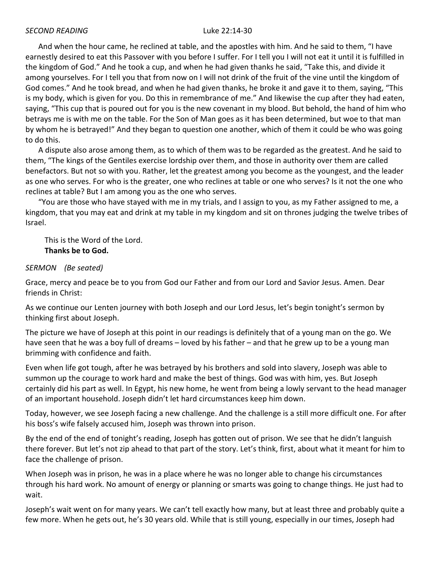And when the hour came, he reclined at table, and the apostles with him. And he said to them, "I have earnestly desired to eat this Passover with you before I suffer. For I tell you I will not eat it until it is fulfilled in the kingdom of God." And he took a cup, and when he had given thanks he said, "Take this, and divide it among yourselves. For I tell you that from now on I will not drink of the fruit of the vine until the kingdom of God comes." And he took bread, and when he had given thanks, he broke it and gave it to them, saying, "This is my body, which is given for you. Do this in remembrance of me." And likewise the cup after they had eaten, saying, "This cup that is poured out for you is the new covenant in my blood. But behold, the hand of him who betrays me is with me on the table. For the Son of Man goes as it has been determined, but woe to that man by whom he is betrayed!" And they began to question one another, which of them it could be who was going to do this.

A dispute also arose among them, as to which of them was to be regarded as the greatest. And he said to them, "The kings of the Gentiles exercise lordship over them, and those in authority over them are called benefactors. But not so with you. Rather, let the greatest among you become as the youngest, and the leader as one who serves. For who is the greater, one who reclines at table or one who serves? Is it not the one who reclines at table? But I am among you as the one who serves.

"You are those who have stayed with me in my trials, and I assign to you, as my Father assigned to me, a kingdom, that you may eat and drink at my table in my kingdom and sit on thrones judging the twelve tribes of Israel.

This is the Word of the Lord. **Thanks be to God.**

#### *SERMON (Be seated)*

Grace, mercy and peace be to you from God our Father and from our Lord and Savior Jesus. Amen. Dear friends in Christ:

As we continue our Lenten journey with both Joseph and our Lord Jesus, let's begin tonight's sermon by thinking first about Joseph.

The picture we have of Joseph at this point in our readings is definitely that of a young man on the go. We have seen that he was a boy full of dreams – loved by his father – and that he grew up to be a young man brimming with confidence and faith.

Even when life got tough, after he was betrayed by his brothers and sold into slavery, Joseph was able to summon up the courage to work hard and make the best of things. God was with him, yes. But Joseph certainly did his part as well. In Egypt, his new home, he went from being a lowly servant to the head manager of an important household. Joseph didn't let hard circumstances keep him down.

Today, however, we see Joseph facing a new challenge. And the challenge is a still more difficult one. For after his boss's wife falsely accused him, Joseph was thrown into prison.

By the end of the end of tonight's reading, Joseph has gotten out of prison. We see that he didn't languish there forever. But let's not zip ahead to that part of the story. Let's think, first, about what it meant for him to face the challenge of prison.

When Joseph was in prison, he was in a place where he was no longer able to change his circumstances through his hard work. No amount of energy or planning or smarts was going to change things. He just had to wait.

Joseph's wait went on for many years. We can't tell exactly how many, but at least three and probably quite a few more. When he gets out, he's 30 years old. While that is still young, especially in our times, Joseph had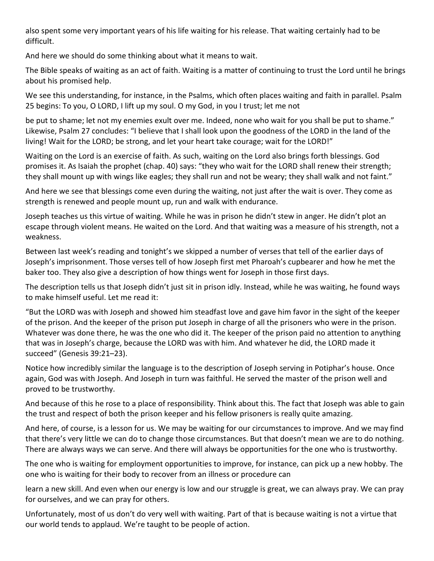also spent some very important years of his life waiting for his release. That waiting certainly had to be difficult.

And here we should do some thinking about what it means to wait.

The Bible speaks of waiting as an act of faith. Waiting is a matter of continuing to trust the Lord until he brings about his promised help.

We see this understanding, for instance, in the Psalms, which often places waiting and faith in parallel. Psalm 25 begins: To you, O LORD, I lift up my soul. O my God, in you I trust; let me not

be put to shame; let not my enemies exult over me. Indeed, none who wait for you shall be put to shame." Likewise, Psalm 27 concludes: "I believe that I shall look upon the goodness of the LORD in the land of the living! Wait for the LORD; be strong, and let your heart take courage; wait for the LORD!"

Waiting on the Lord is an exercise of faith. As such, waiting on the Lord also brings forth blessings. God promises it. As Isaiah the prophet (chap. 40) says: "they who wait for the LORD shall renew their strength; they shall mount up with wings like eagles; they shall run and not be weary; they shall walk and not faint."

And here we see that blessings come even during the waiting, not just after the wait is over. They come as strength is renewed and people mount up, run and walk with endurance.

Joseph teaches us this virtue of waiting. While he was in prison he didn't stew in anger. He didn't plot an escape through violent means. He waited on the Lord. And that waiting was a measure of his strength, not a weakness.

Between last week's reading and tonight's we skipped a number of verses that tell of the earlier days of Joseph's imprisonment. Those verses tell of how Joseph first met Pharoah's cupbearer and how he met the baker too. They also give a description of how things went for Joseph in those first days.

The description tells us that Joseph didn't just sit in prison idly. Instead, while he was waiting, he found ways to make himself useful. Let me read it:

"But the LORD was with Joseph and showed him steadfast love and gave him favor in the sight of the keeper of the prison. And the keeper of the prison put Joseph in charge of all the prisoners who were in the prison. Whatever was done there, he was the one who did it. The keeper of the prison paid no attention to anything that was in Joseph's charge, because the LORD was with him. And whatever he did, the LORD made it succeed" (Genesis 39:21–23).

Notice how incredibly similar the language is to the description of Joseph serving in Potiphar's house. Once again, God was with Joseph. And Joseph in turn was faithful. He served the master of the prison well and proved to be trustworthy.

And because of this he rose to a place of responsibility. Think about this. The fact that Joseph was able to gain the trust and respect of both the prison keeper and his fellow prisoners is really quite amazing.

And here, of course, is a lesson for us. We may be waiting for our circumstances to improve. And we may find that there's very little we can do to change those circumstances. But that doesn't mean we are to do nothing. There are always ways we can serve. And there will always be opportunities for the one who is trustworthy.

The one who is waiting for employment opportunities to improve, for instance, can pick up a new hobby. The one who is waiting for their body to recover from an illness or procedure can

learn a new skill. And even when our energy is low and our struggle is great, we can always pray. We can pray for ourselves, and we can pray for others.

Unfortunately, most of us don't do very well with waiting. Part of that is because waiting is not a virtue that our world tends to applaud. We're taught to be people of action.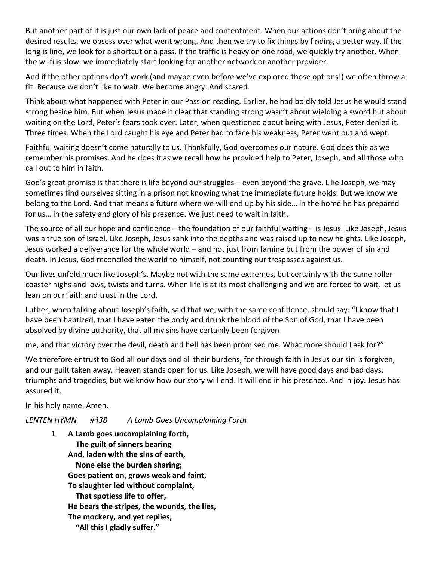But another part of it is just our own lack of peace and contentment. When our actions don't bring about the desired results, we obsess over what went wrong. And then we try to fix things by finding a better way. If the long is line, we look for a shortcut or a pass. If the traffic is heavy on one road, we quickly try another. When the wi-fi is slow, we immediately start looking for another network or another provider.

And if the other options don't work (and maybe even before we've explored those options!) we often throw a fit. Because we don't like to wait. We become angry. And scared.

Think about what happened with Peter in our Passion reading. Earlier, he had boldly told Jesus he would stand strong beside him. But when Jesus made it clear that standing strong wasn't about wielding a sword but about waiting on the Lord, Peter's fears took over. Later, when questioned about being with Jesus, Peter denied it. Three times. When the Lord caught his eye and Peter had to face his weakness, Peter went out and wept.

Faithful waiting doesn't come naturally to us. Thankfully, God overcomes our nature. God does this as we remember his promises. And he does it as we recall how he provided help to Peter, Joseph, and all those who call out to him in faith.

God's great promise is that there is life beyond our struggles – even beyond the grave. Like Joseph, we may sometimes find ourselves sitting in a prison not knowing what the immediate future holds. But we know we belong to the Lord. And that means a future where we will end up by his side… in the home he has prepared for us… in the safety and glory of his presence. We just need to wait in faith.

The source of all our hope and confidence – the foundation of our faithful waiting – is Jesus. Like Joseph, Jesus was a true son of Israel. Like Joseph, Jesus sank into the depths and was raised up to new heights. Like Joseph, Jesus worked a deliverance for the whole world – and not just from famine but from the power of sin and death. In Jesus, God reconciled the world to himself, not counting our trespasses against us.

Our lives unfold much like Joseph's. Maybe not with the same extremes, but certainly with the same roller coaster highs and lows, twists and turns. When life is at its most challenging and we are forced to wait, let us lean on our faith and trust in the Lord.

Luther, when talking about Joseph's faith, said that we, with the same confidence, should say: "I know that I have been baptized, that I have eaten the body and drunk the blood of the Son of God, that I have been absolved by divine authority, that all my sins have certainly been forgiven

me, and that victory over the devil, death and hell has been promised me. What more should I ask for?"

We therefore entrust to God all our days and all their burdens, for through faith in Jesus our sin is forgiven, and our guilt taken away. Heaven stands open for us. Like Joseph, we will have good days and bad days, triumphs and tragedies, but we know how our story will end. It will end in his presence. And in joy. Jesus has assured it.

In his holy name. Amen.

*LENTEN HYMN #438 A Lamb Goes Uncomplaining Forth*

**1 A Lamb goes uncomplaining forth, The guilt of sinners bearing And, laden with the sins of earth, None else the burden sharing; Goes patient on, grows weak and faint, To slaughter led without complaint, That spotless life to offer, He bears the stripes, the wounds, the lies, The mockery, and yet replies,**

 **"All this I gladly suffer."**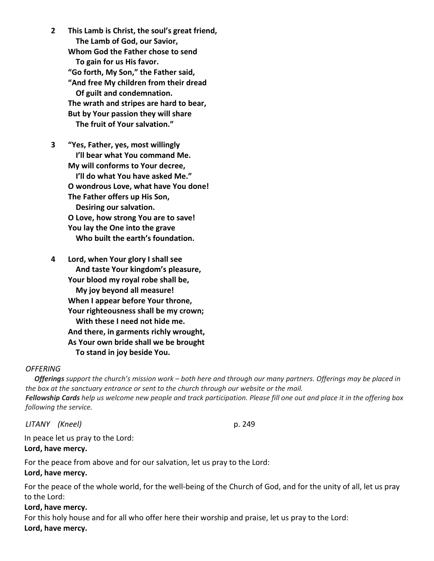**2 This Lamb is Christ, the soul's great friend, The Lamb of God, our Savior, Whom God the Father chose to send To gain for us His favor. "Go forth, My Son," the Father said, "And free My children from their dread Of guilt and condemnation. The wrath and stripes are hard to bear, But by Your passion they will share The fruit of Your salvation."**

**3 "Yes, Father, yes, most willingly I'll bear what You command Me. My will conforms to Your decree, I'll do what You have asked Me." O wondrous Love, what have You done! The Father offers up His Son, Desiring our salvation. O Love, how strong You are to save! You lay the One into the grave Who built the earth's foundation.**

**4 Lord, when Your glory I shall see And taste Your kingdom's pleasure, Your blood my royal robe shall be, My joy beyond all measure! When I appear before Your throne, Your righteousness shall be my crown; With these I need not hide me. And there, in garments richly wrought, As Your own bride shall we be brought To stand in joy beside You.**

#### *OFFERING*

 *Offerings support the church's mission work – both here and through our many partners. Offerings may be placed in the box at the sanctuary entrance or sent to the church through our website or the mail. Fellowship Cards help us welcome new people and track participation. Please fill one out and place it in the offering box following the service.*

*LITANY (Kneel)* p. 249

In peace let us pray to the Lord: **Lord, have mercy.**

For the peace from above and for our salvation, let us pray to the Lord: **Lord, have mercy.**

For the peace of the whole world, for the well-being of the Church of God, and for the unity of all, let us pray to the Lord:

#### **Lord, have mercy.**

For this holy house and for all who offer here their worship and praise, let us pray to the Lord: **Lord, have mercy.**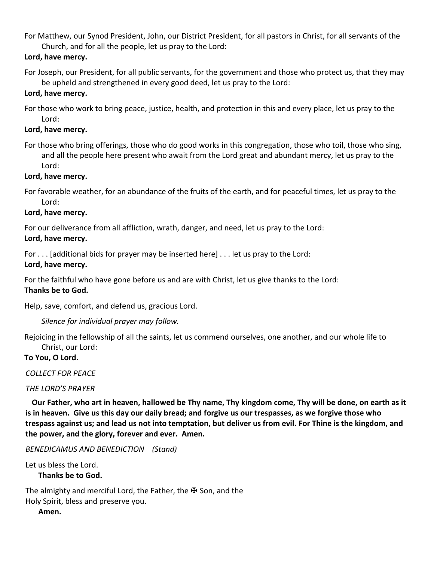For Matthew, our Synod President, John, our District President, for all pastors in Christ, for all servants of the Church, and for all the people, let us pray to the Lord:

# **Lord, have mercy.**

For Joseph, our President, for all public servants, for the government and those who protect us, that they may be upheld and strengthened in every good deed, let us pray to the Lord:

## **Lord, have mercy.**

For those who work to bring peace, justice, health, and protection in this and every place, let us pray to the Lord:

## **Lord, have mercy.**

For those who bring offerings, those who do good works in this congregation, those who toil, those who sing, and all the people here present who await from the Lord great and abundant mercy, let us pray to the Lord:

## **Lord, have mercy.**

For favorable weather, for an abundance of the fruits of the earth, and for peaceful times, let us pray to the Lord:

## **Lord, have mercy.**

For our deliverance from all affliction, wrath, danger, and need, let us pray to the Lord:

# **Lord, have mercy.**

For . . . [additional bids for prayer may be inserted here] . . . let us pray to the Lord: **Lord, have mercy.**

For the faithful who have gone before us and are with Christ, let us give thanks to the Lord: **Thanks be to God.**

Help, save, comfort, and defend us, gracious Lord.

*Silence for individual prayer may follow.*

Rejoicing in the fellowship of all the saints, let us commend ourselves, one another, and our whole life to Christ, our Lord:

# **To You, O Lord.**

*COLLECT FOR PEACE*

#### *THE LORD'S PRAYER*

**Our Father, who art in heaven, hallowed be Thy name, Thy kingdom come, Thy will be done, on earth as it is in heaven. Give us this day our daily bread; and forgive us our trespasses, as we forgive those who trespass against us; and lead us not into temptation, but deliver us from evil. For Thine is the kingdom, and the power, and the glory, forever and ever. Amen.**

*BENEDICAMUS AND BENEDICTION (Stand)* 

Let us bless the Lord.

**Thanks be to God.**

The almighty and merciful Lord, the Father, the ₩ Son, and the Holy Spirit, bless and preserve you.

**Amen.**